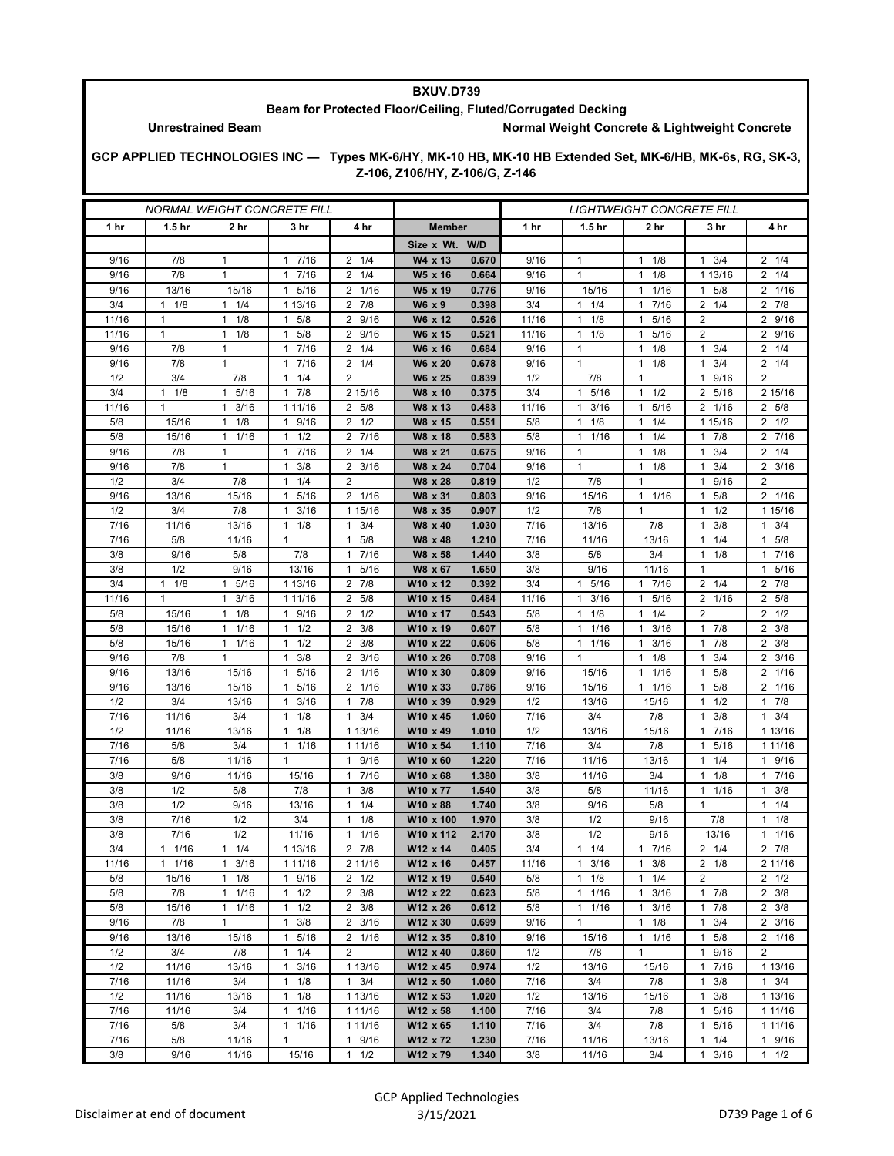## **BXUV.D739 Beam for Protected Floor/Ceiling, Fluted/Corrugated Decking**

Unrestrained Beam **Normal Weight Concrete & Lightweight Concrete** 

**GCP APPLIED TECHNOLOGIES INC — Types MK-6/HY, MK-10 HB, MK-10 HB Extended Set, MK-6/HB, MK-6s, RG, SK-3, Z-106, Z106/HY, Z-106/G, Z-146**

| <i>NORMAL WEIGHT CONCRETE FILL</i> |                   |                                      |                                   |                        |                                  | <i>LIGHTWEIGHT CONCRETE FILL</i> |             |                                      |                                             |                        |                                     |  |
|------------------------------------|-------------------|--------------------------------------|-----------------------------------|------------------------|----------------------------------|----------------------------------|-------------|--------------------------------------|---------------------------------------------|------------------------|-------------------------------------|--|
| 1 hr                               | 1.5 <sub>hr</sub> | 2 hr                                 | 3 hr                              | 4 hr                   | <b>Member</b>                    |                                  | 1 hr        | 1.5 <sub>hr</sub>                    | 2 hr                                        | 3 hr                   | 4 hr                                |  |
|                                    |                   |                                      |                                   |                        | Size x Wt. W/D                   |                                  |             |                                      |                                             |                        |                                     |  |
| 9/16                               | 7/8               | $\mathbf{1}$                         | 7/16<br>1                         | $2 \t1/4$              | W4 x 13                          | 0.670                            | 9/16        | 1                                    | 1/8<br>$\mathbf{1}$                         | 3/4<br>$\mathbf{1}$    | $2 \t1/4$                           |  |
| 9/16                               | 7/8               | $\mathbf{1}$                         | 7/16<br>1                         | 1/4<br>2               | W5 x 16                          | 0.664                            | 9/16        | $\mathbf{1}$                         | 1/8<br>$\mathbf{1}$                         | 1 13/16                | $2 \t1/4$                           |  |
| 9/16                               | 13/16             | 15/16                                | $\mathbf{1}$<br>5/16              | 2 1/16                 | W5 x 19                          | 0.776                            | 9/16        | 15/16                                | 1/16<br>$\mathbf{1}$                        | 5/8<br>1               | 2 1/16                              |  |
| 3/4                                | $1 \t1/8$         | $1 \t1/4$                            | 1 13/16                           | 2<br>7/8               | W6 x 9                           | 0.398                            | 3/4         | $1 \t1/4$                            | 7/16<br>$\mathbf{1}$                        | $2 \t1/4$              | $2 \t 7/8$                          |  |
| 11/16                              | 1                 | 1/8<br>$\mathbf{1}$                  | 5/8<br>$\mathbf{1}$               | 9/16<br>2              | W6 x 12                          | 0.526                            | 11/16       | 1/8<br>$\mathbf{1}$                  | 5/16<br>$\mathbf{1}$                        | 2                      | 2 9/16                              |  |
| 11/16                              | $\mathbf{1}$      | $\mathbf{1}$<br>1/8                  | 5/8<br>1                          | 2<br>9/16              | W6 x 15                          | 0.521                            | 11/16       | 1/8<br>$\mathbf{1}$                  | 5/16<br>$\mathbf{1}$                        | $\overline{2}$         | 2 9/16                              |  |
| 9/16                               | 7/8               | $\mathbf{1}$                         | 7/16<br>$\mathbf{1}$              | $2 \t1/4$              | W6 x 16                          | 0.684                            | 9/16        | 1                                    | 1/8<br>$\mathbf{1}$                         | $1 \t3/4$              | $2 \t1/4$                           |  |
| 9/16                               | 7/8               | 1                                    | 7/16<br>$\mathbf{1}$              | 1/4<br>2               | W6 x 20                          | 0.678                            | 9/16        | $\mathbf{1}$                         | 1/8<br>$\mathbf{1}$                         | 3/4<br>1               | $2 \t1/4$                           |  |
| 1/2                                | 3/4               | 7/8                                  | 1/4<br>1                          | $\overline{2}$         | W6 x 25                          | 0.839                            | 1/2         | 7/8                                  | $\mathbf{1}$                                | 9/16                   | 2                                   |  |
| 3/4                                | $1 \t1/8$         | 5/16<br>$\mathbf{1}$                 | 7/8<br>1                          | 2 15/16                | W8 x 10                          | 0.375                            | 3/4         | 5/16<br>$\mathbf{1}$                 | 1/2<br>$\mathbf{1}$                         | 5/16<br>$\overline{2}$ | 2 15/16                             |  |
| 11/16                              | $\mathbf{1}$      | 3/16<br>$\mathbf{1}$                 | 1 11/16                           | $\overline{2}$<br>5/8  | W8 x 13                          | 0.483                            | 11/16       | 3/16<br>$\mathbf{1}$                 | 5/16<br>1                                   | 2 1/16                 | 2 5/8                               |  |
| 5/8                                | 15/16             | 1/8<br>1                             | 1 9/16                            | 2<br>1/2               | W8 x 15                          | 0.551                            | 5/8         | 1/8<br>$\mathbf{1}$                  | 1/4<br>$\mathbf{1}$                         | 1 15/16                | $2 \frac{1}{2}$                     |  |
| 5/8                                | 15/16             | 1/16<br>1                            | 1/2<br>$\mathbf{1}$               | $\overline{2}$<br>7/16 | W8 x 18                          | 0.583                            | 5/8         | 1/16<br>$\mathbf{1}$                 | 1/4<br>$\mathbf{1}$                         | 7/8<br>1               | 2 7/16                              |  |
| 9/16                               | 7/8               | $\mathbf{1}$                         | 7/16<br>$\mathbf{1}$              | 1/4<br>2               | W8 x 21                          | 0.675                            | 9/16        | $\mathbf{1}$                         | 1/8<br>$\mathbf{1}$                         | 3/4<br>1               | $2 \t1/4$                           |  |
| 9/16                               | 7/8               | $\mathbf{1}$                         | 3/8<br>$\mathbf{1}$               | $2 \frac{3}{16}$       | W8 x 24                          | 0.704                            | 9/16        | $\mathbf{1}$                         | 1/8<br>$\mathbf{1}$                         | 3/4<br>1               | $2 \frac{3}{16}$                    |  |
| 1/2                                | 3/4               | 7/8                                  | 1/4<br>1                          | 2                      | W8 x 28                          | 0.819                            | 1/2         | 7/8                                  | $\mathbf{1}$                                | 9/16<br>1              | 2                                   |  |
| 9/16                               | 13/16             | 15/16                                | 5/16<br>1                         | $\overline{2}$<br>1/16 | W8 x 31                          | 0.803                            | 9/16        | 15/16                                | $\mathbf{1}$<br>1/16                        | 5/8<br>1               | 2 1/16                              |  |
| 1/2                                | 3/4               | 7/8                                  | $1 \t3/16$                        | 1 15/16                | W8 x 35                          | 0.907                            | 1/2         | 7/8                                  | $\mathbf{1}$                                | 1/2<br>1               | 1 15/16                             |  |
| 7/16                               | 11/16             | 13/16                                | $1 \t1/8$                         | 3/4<br>1               | W8 x 40                          | 1.030                            | 7/16        | 13/16                                | 7/8                                         | 3/8<br>1               | $1 \t3/4$                           |  |
| 7/16                               | 5/8               | 11/16                                | $\mathbf{1}$                      | 5/8<br>$\mathbf{1}$    | W8 x 48                          | 1.210                            | 7/16        | 11/16                                | 13/16                                       | 1/4<br>-1              | 5/8<br>$\mathbf{1}$                 |  |
| 3/8                                | 9/16              | 5/8                                  | 7/8                               | 7/16<br>1              | W8 x 58                          | 1.440                            | 3/8         | 5/8                                  | 3/4                                         | 1/8<br>1               | 17/16                               |  |
| 3/8                                | 1/2               | 9/16                                 | 13/16                             | 5/16<br>$\mathbf{1}$   | W8 x 67                          | 1.650                            | 3/8         | 9/16                                 | 11/16                                       | 1                      | 1 5/16                              |  |
| 3/4                                | 1/8<br>1          | 5/16<br>1                            | 1 13/16                           | 7/8<br>2               | W10 x 12                         | 0.392                            | 3/4         | 5/16<br>1                            | 7/16<br>$\mathbf{1}$                        | $2 \frac{1}{4}$        | 2 7/8                               |  |
| 11/16                              | $\mathbf{1}$      | 3/16<br>1                            | 1 11/16                           | 5/8<br>2               | W10 x 15                         | 0.484                            | 11/16       | 3/16<br>$\mathbf{1}$                 | 5/16<br>$\mathbf{1}$                        | 2 1/16                 | 2 5/8                               |  |
| 5/8                                | 15/16             | $1 \t1/8$                            | 1 9/16                            | $2 \frac{1}{2}$        | W10 x 17                         | 0.543                            | 5/8         | $1 \t1/8$                            | 1/4<br>$\mathbf{1}$                         | 2                      | $2 \frac{1}{2}$                     |  |
| 5/8                                | 15/16             | 1/16<br>1                            | 1/2<br>1                          | 2<br>3/8               | W10 x 19                         | 0.607                            | 5/8         | 1/16<br>1                            | 3/16<br>$\mathbf{1}$                        | 7/8<br>1               | $2 \frac{3}{8}$                     |  |
| 5/8<br>9/16                        | 15/16<br>7/8      | 1/16<br>$\mathbf{1}$<br>$\mathbf{1}$ | 1/2<br>1<br>$\mathbf{1}$          | 3/8<br>2               | W10 x 22<br>W10 x 26             | 0.606                            | 5/8         | 1/16<br>$\mathbf{1}$<br>$\mathbf{1}$ | 3/16<br>$\mathbf{1}$<br>1/8<br>$\mathbf{1}$ | 7/8<br>1               | $2 \frac{3}{8}$<br>$2 \frac{3}{16}$ |  |
|                                    |                   |                                      | 3/8                               | $\overline{2}$<br>3/16 |                                  | 0.708<br>0.809                   | 9/16        |                                      |                                             | 3/4<br>$\mathbf{1}$    |                                     |  |
| 9/16<br>9/16                       | 13/16<br>13/16    | 15/16<br>15/16                       | 5/16<br>1<br>5/16<br>$\mathbf{1}$ | 2 1/16<br>1/16<br>2    | W <sub>10</sub> x 30<br>W10 x 33 | 0.786                            | 9/16        | 15/16                                | 1/16<br>1<br>1/16<br>$\mathbf{1}$           | 5/8<br>1<br>5/8<br>1   | 2 1/16<br>2 1/16                    |  |
| 1/2                                | 3/4               | 13/16                                | $\mathbf{1}$<br>3/16              | 7/8<br>$\mathbf{1}$    | W10 x 39                         | 0.929                            | 9/16<br>1/2 | 15/16<br>13/16                       | 15/16                                       | 1/2<br>1               | 17/8                                |  |
| 7/16                               | 11/16             | 3/4                                  | 1/8<br>$\mathbf{1}$               | 3/4<br>$\mathbf{1}$    | W10 x 45                         | 1.060                            | 7/16        | 3/4                                  | 7/8                                         | 3/8<br>1               | $1 \t3/4$                           |  |
| 1/2                                | 11/16             | 13/16                                | 1/8<br>$\mathbf{1}$               | 1 13/16                | W10 x 49                         | 1.010                            | 1/2         | 13/16                                | 15/16                                       | 7/16<br>1              | 1 13/16                             |  |
| 7/16                               | 5/8               | 3/4                                  | 1/16<br>$\mathbf{1}$              | 1 11/16                | W10 x 54                         | 1.110                            | 7/16        | 3/4                                  | 7/8                                         | 5/16                   | 1 1 1 / 16                          |  |
| 7/16                               | 5/8               | 11/16                                | 1                                 | 9/16<br>1              | W10 x 60                         | 1.220                            | 7/16        | 11/16                                | 13/16                                       | 1/4<br>1               | 1 9/16                              |  |
| 3/8                                | 9/16              | 11/16                                | 15/16                             | $\mathbf{1}$<br>7/16   | W10 x 68                         | 1.380                            | 3/8         | 11/16                                | 3/4                                         | 1/8<br>1               | 17/16                               |  |
| 3/8                                | 1/2               | 5/8                                  | 7/8                               | 3/8<br>$\mathbf{1}$    | W10 x 77                         | 1.540                            | 3/8         | 5/8                                  | 11/16                                       | 1/16<br>1              | $1 \t3/8$                           |  |
| 3/8                                | 1/2               | 9/16                                 | 13/16                             | $\mathbf{1}$<br>1/4    | W10 x 88                         | 1.740                            | 3/8         | 9/16                                 | 5/8                                         | $\mathbf{1}$           | $1 \t1/4$                           |  |
| 3/8                                | 7/16              | 1/2                                  | 3/4                               | 1/8<br>$\mathbf{1}$    | W10 x 100                        | 1.970                            | 3/8         | 1/2                                  | 9/16                                        | 7/8                    | $1 \t1/8$                           |  |
| 3/8                                | 7/16              | 1/2                                  | 11/16                             | 1/16<br>$\mathbf{1}$   | W10 x 112                        | 2.170                            | 3/8         | 1/2                                  | 9/16                                        | 13/16                  | $1 \t1/16$                          |  |
| 3/4                                | $1 \t1/16$        | 1/4<br>$\mathbf{1}$                  | 1 13/16                           | 7/8<br>2               | W12 x 14                         | 0.405                            | 3/4         | $1 \t1/4$                            | 7/16<br>$\mathbf{1}$                        | $2 \t1/4$              | $2 \t 7/8$                          |  |
| 11/16                              | $1 \t1/16$        | 3/16<br>$\mathbf{1}$                 | 1 11/16                           | 2 11/16                | W12 x 16                         | 0.457                            | 11/16       | $1 \t3/16$                           | 3/8<br>$\mathbf{1}$                         | $2 \t1/8$              | 2 11/16                             |  |
| 5/8                                | 15/16             | $\mathbf{1}$<br>1/8                  | 1 9/16                            | $2 \frac{1}{2}$        | W12 x 19                         | 0.540                            | 5/8         | $1 \t1/8$                            | 1/4<br>$\mathbf{1}$                         | $\overline{2}$         | $2 \frac{1}{2}$                     |  |
| 5/8                                | 7/8               | 11/16                                | $1 \t1/2$                         | $2 \frac{3}{8}$        | W12 x 22                         | 0.623                            | 5/8         | $1 \t1/16$                           | 3/16<br>$\mathbf{1}$                        | 17/8                   | $2 \frac{3}{8}$                     |  |
| 5/8                                | 15/16             | 1/16<br>$\mathbf{1}$                 | 1/2<br>$\mathbf{1}$               | $2 \frac{3}{8}$        | W12 x 26                         | 0.612                            | 5/8         | 11/16                                | 3/16<br>$\mathbf{1}$                        | 7/8<br>$\mathbf{1}$    | $2 \frac{3}{8}$                     |  |
| 9/16                               | 7/8               | $\mathbf{1}$                         | $1 \t3/8$                         | $2 \frac{3}{16}$       | W12 x 30                         | 0.699                            | 9/16        | $\mathbf{1}$                         | $\mathbf{1}$<br>1/8                         | 3/4<br>$\mathbf{1}$    | $2 \frac{3}{16}$                    |  |
| 9/16                               | 13/16             | 15/16                                | 1 5/16                            | 2 1/16                 | W12 x 35                         | 0.810                            | 9/16        | 15/16                                | $1 \t1/16$                                  | $1 \t5/8$              | 2 1/16                              |  |
| 1/2                                | 3/4               | 7/8                                  | $1 \t1/4$                         | $\overline{2}$         | W12 x 40                         | 0.860                            | 1/2         | 7/8                                  | $\mathbf{1}$                                | 9/16<br>1              | $\overline{2}$                      |  |
| 1/2                                | 11/16             | 13/16                                | $1 \t3/16$                        | 1 13/16                | W12 x 45                         | 0.974                            | 1/2         | 13/16                                | 15/16                                       | 1 7/16                 | 1 13/16                             |  |
| 7/16                               | 11/16             | 3/4                                  | $1 \t1/8$                         | $1 \t3/4$              | W12 x 50                         | 1.060                            | 7/16        | 3/4                                  | 7/8                                         | $1 \t3/8$              | $1 \t3/4$                           |  |
| 1/2                                | 11/16             | 13/16                                | $1 \t1/8$                         | 1 13/16                | W12 x 53                         | 1.020                            | 1/2         | 13/16                                | 15/16                                       | 3/8<br>1               | 1 13/16                             |  |
| 7/16                               | 11/16             | 3/4                                  | 11/16                             | 1 11/16                | W12 x 58                         | 1.100                            | 7/16        | 3/4                                  | 7/8                                         | 5/16<br>$\mathbf{1}$   | 1 1 1/16                            |  |
| 7/16                               | 5/8               | 3/4                                  | $1 \t1/16$                        | 1 11/16                | W12 x 65                         | 1.110                            | 7/16        | 3/4                                  | 7/8                                         | 1 5/16                 | 1 1 1 / 16                          |  |
| 7/16                               | 5/8               | 11/16                                | $\mathbf{1}$                      | 1 9/16                 | W12 x 72                         | 1.230                            | 7/16        | 11/16                                | 13/16                                       | $1 \t1/4$              | 1 9/16                              |  |
| 3/8                                | 9/16              | 11/16                                | 15/16                             | $1 \t1/2$              | W12 x 79                         | 1.340                            | 3/8         | 11/16                                | 3/4                                         | $1 \t3/16$             | $1 \t1/2$                           |  |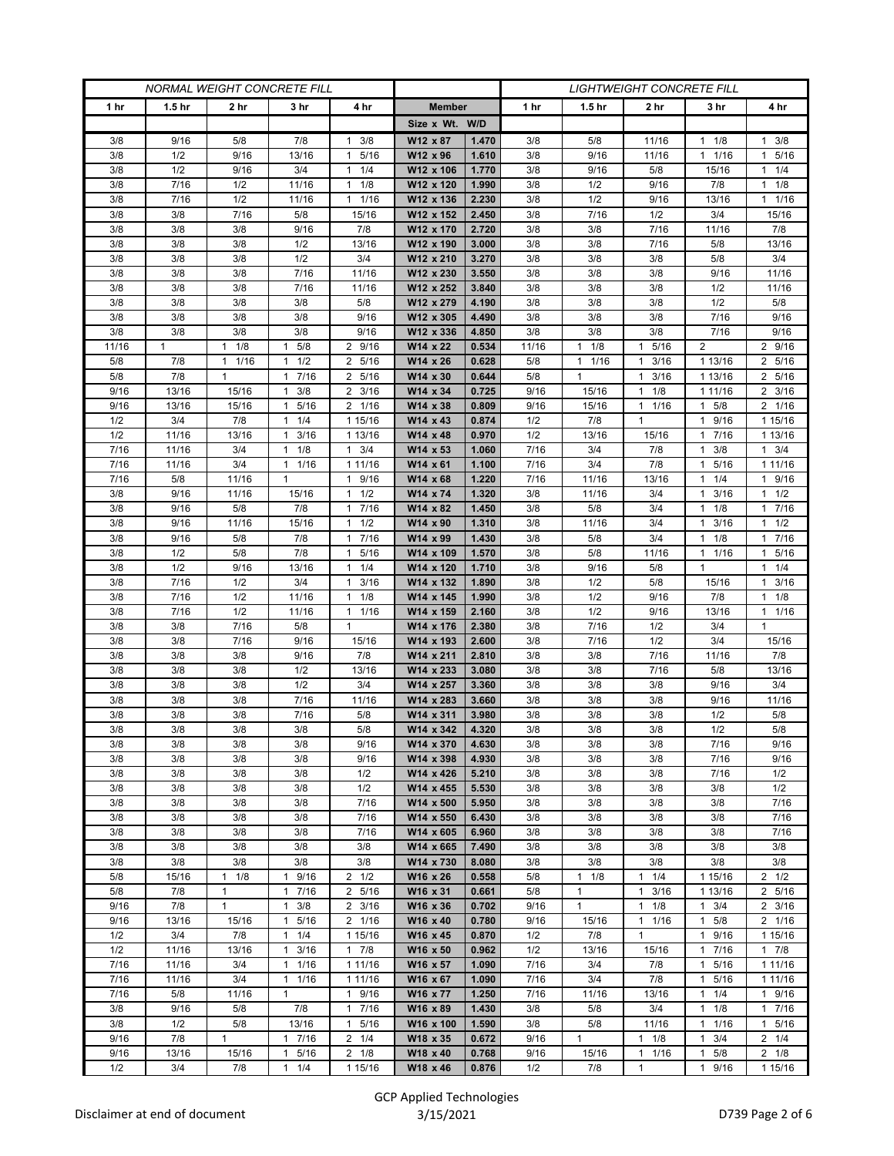| <b>NORMAL WEIGHT CONCRETE FILL</b> |                   |                     |                                     |                                             |                        |                |             | <b>LIGHTWEIGHT CONCRETE FILL</b> |                      |                                |                    |
|------------------------------------|-------------------|---------------------|-------------------------------------|---------------------------------------------|------------------------|----------------|-------------|----------------------------------|----------------------|--------------------------------|--------------------|
| 1 <sub>hr</sub>                    | 1.5 <sub>hr</sub> | 2 hr                | 3 hr                                | 4 hr                                        | <b>Member</b>          |                | 1 hr        | 1.5 <sub>hr</sub>                | 2 hr                 | 3 hr                           | 4 hr               |
|                                    |                   |                     |                                     |                                             | Size x Wt. W/D         |                |             |                                  |                      |                                |                    |
| 3/8                                | 9/16              | 5/8                 | 7/8                                 | 3/8<br>1                                    | W12 x 87               | 1.470          | 3/8         | 5/8                              | 11/16                | 1/8<br>1                       | $1 \t3/8$          |
| 3/8                                | 1/2               | 9/16                | 13/16                               | 5/16<br>$\mathbf{1}$                        | W12 x 96               | 1.610          | 3/8         | 9/16                             | 11/16                | 1/16<br>$\mathbf{1}$           | 1 5/16             |
| 3/8                                | 1/2               | 9/16                | 3/4                                 | 1/4<br>$\mathbf{1}$                         | W12 x 106              | 1.770          | 3/8         | 9/16                             | 5/8                  | 15/16                          | $1 \t1/4$          |
| 3/8                                | 7/16              | 1/2                 | 11/16                               | 1/8<br>$\mathbf{1}$                         | W12 x 120              | 1.990          | 3/8         | 1/2                              | 9/16                 | 7/8                            | $1 \t1/8$          |
| 3/8                                | 7/16              | 1/2                 | 11/16                               | $\mathbf{1}$<br>1/16                        | W12 x 136              | 2.230          | 3/8         | 1/2                              | 9/16                 | 13/16                          | 11/16              |
| 3/8                                | 3/8               | 7/16                | 5/8                                 | 15/16                                       | W12 x 152              | 2.450          | 3/8         | 7/16                             | 1/2                  | 3/4                            | 15/16              |
| 3/8                                | 3/8               | 3/8                 | 9/16                                | 7/8                                         | W12 x 170              | 2.720          | 3/8         | 3/8                              | 7/16                 | 11/16                          | 7/8                |
| 3/8<br>3/8                         | 3/8<br>3/8        | 3/8<br>3/8          | 1/2<br>1/2                          | 13/16<br>3/4                                | W12 x 190<br>W12 x 210 | 3.000<br>3.270 | 3/8<br>3/8  | 3/8<br>3/8                       | 7/16<br>3/8          | 5/8<br>5/8                     | 13/16<br>3/4       |
| 3/8                                | 3/8               | 3/8                 | 7/16                                | 11/16                                       | W12 x 230              | 3.550          | 3/8         | 3/8                              | 3/8                  | 9/16                           | 11/16              |
| 3/8                                | 3/8               | 3/8                 | 7/16                                | 11/16                                       | W12 x 252              | 3.840          | 3/8         | 3/8                              | 3/8                  | 1/2                            | 11/16              |
| 3/8                                | 3/8               | 3/8                 | 3/8                                 | 5/8                                         | W12 x 279              | 4.190          | 3/8         | 3/8                              | 3/8                  | 1/2                            | 5/8                |
| 3/8                                | 3/8               | 3/8                 | 3/8                                 | 9/16                                        | W12 x 305              | 4.490          | 3/8         | 3/8                              | 3/8                  | 7/16                           | 9/16               |
| 3/8                                | 3/8               | 3/8                 | 3/8                                 | 9/16                                        | W12 x 336              | 4.850          | 3/8         | 3/8                              | 3/8                  | 7/16                           | 9/16               |
| 11/16                              | 1                 | 1/8<br>$\mathbf{1}$ | 5/8<br>1                            | 2 9/16                                      | W14 x 22               | 0.534          | 11/16       | $1 \t1/8$                        | 5/16<br>$\mathbf{1}$ | 2                              | 2 9/16             |
| 5/8                                | 7/8               | 1/16<br>1           | 1/2<br>1                            | $\overline{2}$<br>5/16                      | W14 x 26               | 0.628          | 5/8         | $1 \t1/16$                       | 3/16<br>$\mathbf{1}$ | 1 13/16                        | 2 5/16             |
| 5/8                                | 7/8               | $\mathbf{1}$        | 7/16<br>$\mathbf{1}$                | 5/16<br>2                                   | W14 x 30               | 0.644          | 5/8         | $\mathbf{1}$                     | 3/16<br>$\mathbf{1}$ | 1 13/16                        | 2 5/16             |
| 9/16                               | 13/16             | 15/16               | $1 \t3/8$                           | $2 \frac{3}{16}$                            | W14 x 34               | 0.725          | 9/16        | 15/16                            | 1/8<br>$\mathbf{1}$  | 1 1 1 / 1 6                    | $2 \frac{3}{16}$   |
| 9/16                               | 13/16             | 15/16               | 5/16<br>$\mathbf{1}$                | 2 1/16                                      | W14 x 38               | 0.809          | 9/16        | 15/16                            | 1/16<br>$\mathbf{1}$ | $1 \t5/8$                      | 2 1/16             |
| 1/2                                | 3/4               | 7/8                 | 1/4<br>$\mathbf{1}$                 | 1 15/16                                     | W14 x 43               | 0.874          | 1/2         | 7/8                              | $\mathbf{1}$         | 9/16<br>1                      | 1 15/16            |
| 1/2                                | 11/16             | 13/16               | $1 \t3/16$                          | 1 13/16                                     | W14 x 48               | 0.970          | 1/2         | 13/16                            | 15/16                | 7/16<br>$\mathbf{1}$           | 1 13/16            |
| 7/16                               | 11/16             | 3/4                 | $1 \t1/8$                           | $1 \t3/4$                                   | W14 x 53               | 1.060          | 7/16        | 3/4                              | 7/8                  | $1 \t3/8$                      | $1 \t3/4$          |
| 7/16                               | 11/16             | 3/4                 | 1/16<br>1                           | 1 11/16                                     | W14 x 61               | 1.100          | 7/16        | 3/4                              | 7/8                  | 5/16                           | 1 1 1 / 16         |
| 7/16                               | 5/8               | 11/16               | $\mathbf{1}$                        | 9/16<br>$\mathbf{1}$                        | W14 x 68               | 1.220          | 7/16        | 11/16                            | 13/16                | 1/4<br>1                       | 1 9/16             |
| 3/8                                | 9/16              | 11/16               | 15/16                               | 1/2<br>1                                    | W14 x 74               | 1.320          | 3/8         | 11/16                            | 3/4                  | 3/16<br>$\mathbf{1}$           | $1 \t1/2$          |
| 3/8                                | 9/16              | 5/8                 | 7/8                                 | 7/16<br>$\mathbf{1}$                        | W14 x 82               | 1.450          | 3/8         | 5/8                              | 3/4                  | 1/8                            | 17/16<br>$1 \t1/2$ |
| 3/8<br>3/8                         | 9/16<br>9/16      | 11/16<br>5/8        | 15/16<br>7/8                        | 1/2<br>$\mathbf{1}$<br>7/16<br>$\mathbf{1}$ | W14 x 90<br>W14 x 99   | 1.310<br>1.430 | 3/8<br>3/8  | 11/16<br>5/8                     | 3/4<br>3/4           | 3/16<br>1<br>$1 \t1/8$         | 17/16              |
| 3/8                                | 1/2               | 5/8                 | 7/8                                 | 5/16<br>$\mathbf{1}$                        | W14 x 109              | 1.570          | 3/8         | 5/8                              | 11/16                | 1/16<br>1                      | 1 5/16             |
| 3/8                                | 1/2               | 9/16                | 13/16                               | 1/4<br>$\mathbf{1}$                         | W14 x 120              | 1.710          | 3/8         | 9/16                             | 5/8                  | $\mathbf{1}$                   | $1 \t1/4$          |
| 3/8                                | 7/16              | 1/2                 | 3/4                                 | 3/16<br>$\mathbf{1}$                        | W14 x 132              | 1.890          | 3/8         | 1/2                              | 5/8                  | 15/16                          | $1 \t3/16$         |
| 3/8                                | 7/16              | 1/2                 | 11/16                               | 1/8<br>$\mathbf{1}$                         | W14 x 145              | 1.990          | 3/8         | 1/2                              | 9/16                 | 7/8                            | $1 \t1/8$          |
| 3/8                                | 7/16              | 1/2                 | 11/16                               | 1/16<br>1                                   | W14 x 159              | 2.160          | 3/8         | 1/2                              | 9/16                 | 13/16                          | 11/16              |
| 3/8                                | 3/8               | 7/16                | 5/8                                 | $\mathbf{1}$                                | W14 x 176              | 2.380          | 3/8         | 7/16                             | 1/2                  | 3/4                            | $\mathbf{1}$       |
| 3/8                                | 3/8               | 7/16                | 9/16                                | 15/16                                       | W14 x 193              | 2.600          | 3/8         | 7/16                             | 1/2                  | 3/4                            | 15/16              |
| 3/8                                | 3/8               | 3/8                 | 9/16                                | 7/8                                         | W14 x 211              | 2.810          | 3/8         | 3/8                              | 7/16                 | 11/16                          | 7/8                |
| 3/8                                | 3/8               | 3/8                 | 1/2                                 | 13/16                                       | W14 x 233              | 3.080          | 3/8         | 3/8                              | 7/16                 | 5/8                            | 13/16              |
| 3/8                                | 3/8               | 3/8                 | 1/2                                 | 3/4                                         | W14 x 257              | 3.360          | 3/8         | 3/8                              | 3/8                  | 9/16                           | 3/4                |
| 3/8                                | 3/8               | 3/8                 | 7/16                                | 11/16                                       | W14 x 283              | 3.660          | 3/8         | 3/8                              | 3/8                  | 9/16                           | 11/16              |
| 3/8<br>3/8                         | 3/8<br>3/8        | 3/8<br>3/8          | 7/16<br>3/8                         | 5/8<br>5/8                                  | W14 x 311<br>W14 x 342 | 3.980<br>4.320 | 3/8<br>3/8  | 3/8<br>3/8                       | 3/8<br>3/8           | 1/2<br>1/2                     | 5/8<br>5/8         |
| 3/8                                | 3/8               | 3/8                 | 3/8                                 | 9/16                                        | W14 x 370              | 4.630          | 3/8         | 3/8                              | 3/8                  | 7/16                           | 9/16               |
| 3/8                                | 3/8               | 3/8                 | 3/8                                 | 9/16                                        | W14 x 398              | 4.930          | 3/8         | 3/8                              | 3/8                  | 7/16                           | 9/16               |
| 3/8                                | 3/8               | 3/8                 | 3/8                                 | 1/2                                         | W14 x 426              | 5.210          | 3/8         | 3/8                              | 3/8                  | 7/16                           | 1/2                |
| 3/8                                | 3/8               | 3/8                 | 3/8                                 | 1/2                                         | W14 x 455              | 5.530          | 3/8         | 3/8                              | 3/8                  | 3/8                            | 1/2                |
| 3/8                                | 3/8               | 3/8                 | 3/8                                 | 7/16                                        | W14 x 500              | 5.950          | 3/8         | 3/8                              | 3/8                  | 3/8                            | 7/16               |
| 3/8                                | 3/8               | 3/8                 | 3/8                                 | 7/16                                        | W14 x 550              | 6.430          | 3/8         | 3/8                              | 3/8                  | 3/8                            | 7/16               |
| 3/8                                | 3/8               | 3/8                 | 3/8                                 | 7/16                                        | W14 x 605              | 6.960          | 3/8         | 3/8                              | 3/8                  | 3/8                            | 7/16               |
| 3/8                                | 3/8               | 3/8                 | 3/8                                 | 3/8                                         | W14 x 665              | 7.490          | 3/8         | 3/8                              | 3/8                  | 3/8                            | 3/8                |
| 3/8                                | 3/8               | 3/8                 | 3/8                                 | 3/8                                         | W14 x 730              | 8.080          | 3/8         | 3/8                              | 3/8                  | 3/8                            | 3/8                |
| 5/8                                | 15/16             | 1<br>1/8            | 9/16<br>1                           | $2 \frac{1}{2}$                             | W16 x 26               | 0.558          | 5/8         | $1 \t1/8$                        | 1/4<br>$\mathbf{1}$  | 1 15/16                        | $2 \frac{1}{2}$    |
| 5/8                                | 7/8               | $\mathbf{1}$        | 17/16                               | 2 5/16                                      | W16 x 31               | 0.661          | 5/8         | $\mathbf{1}$                     | $\mathbf{1}$<br>3/16 | 1 13/16                        | 2 5/16             |
| 9/16                               | 7/8               | $\mathbf{1}$        | $1 \t3/8$                           | $2 \frac{3}{16}$                            | W16 x 36               | 0.702          | 9/16        | $\mathbf{1}$                     | 1/8<br>$\mathbf{1}$  | $1 \t3/4$                      | $2 \frac{3}{16}$   |
| 9/16                               | 13/16             | 15/16               | 5/16<br>1                           | 2 1/16                                      | W16 x 40               | 0.780          | 9/16        | 15/16                            | 1/16<br>1            | 5/8<br>$\mathbf{1}$            | 2 1/16             |
| 1/2<br>1/2                         | 3/4               | 7/8                 | 1/4<br>$\mathbf{1}$<br>$\mathbf{1}$ | 1 15/16                                     | W16 x 45               | 0.870          | 1/2         | 7/8                              | $\mathbf{1}$         | 9/16<br>$\mathbf{1}$           | 1 15/16            |
| $\frac{1}{7}{16}$                  | 11/16<br>11/16    | 13/16<br>3/4        | 3/16<br>$1 \t1/16$                  | $1 \t7/8$<br>1 11/16                        | W16 x 50<br>W16 x 57   | 0.962<br>1.090 | 1/2<br>7/16 | 13/16<br>3/4                     | 15/16<br>7/8         | 1 7/16<br>5/16<br>$\mathbf{1}$ | 17/8<br>1 11/16    |
| 7/16                               | 11/16             | 3/4                 | 1/16<br>$\mathbf{1}$                | 1 11/16                                     | W16 x 67               | 1.090          | 7/16        | 3/4                              | 7/8                  | 5/16<br>1                      | 1 11/16            |
| 7/16                               | 5/8               | 11/16               | $\mathbf{1}$                        | 9/16<br>$\mathbf{1}$                        | W16 x 77               | 1.250          | 7/16        | 11/16                            | 13/16                | $1 \t1/4$                      | 1 9/16             |
| 3/8                                | 9/16              | 5/8                 | 7/8                                 | 7/16<br>$\mathbf{1}$                        | W16 x 89               | 1.430          | 3/8         | 5/8                              | 3/4                  | 1/8<br>$\mathbf{1}$            | 17/16              |
| 3/8                                | 1/2               | 5/8                 | 13/16                               | 5/16<br>$\mathbf{1}$                        | W16 x 100              | 1.590          | 3/8         | 5/8                              | 11/16                | $\mathbf{1}$<br>1/16           | 1 5/16             |
| 9/16                               | 7/8               | $\mathbf{1}$        | 7/16<br>$\mathbf{1}$                | $2 \t1/4$                                   | W18 x 35               | 0.672          | 9/16        | $\mathbf{1}$                     | 1/8<br>$\mathbf{1}$  | 3/4                            | $2 \t1/4$          |
| 9/16                               | 13/16             | 15/16               | 5/16<br>$\mathbf{1}$                | $2 \t1/8$                                   | W18 x 40               | 0.768          | 9/16        | 15/16                            | 1/16<br>1            | 5/8<br>1                       | $2 \t1/8$          |
| 1/2                                | 3/4               | 7/8                 | $1 \t1/4$                           | 1 15/16                                     | W18 x 46               | 0.876          | 1/2         | 7/8                              | $\mathbf{1}$         | 1 9/16                         | 1 15/16            |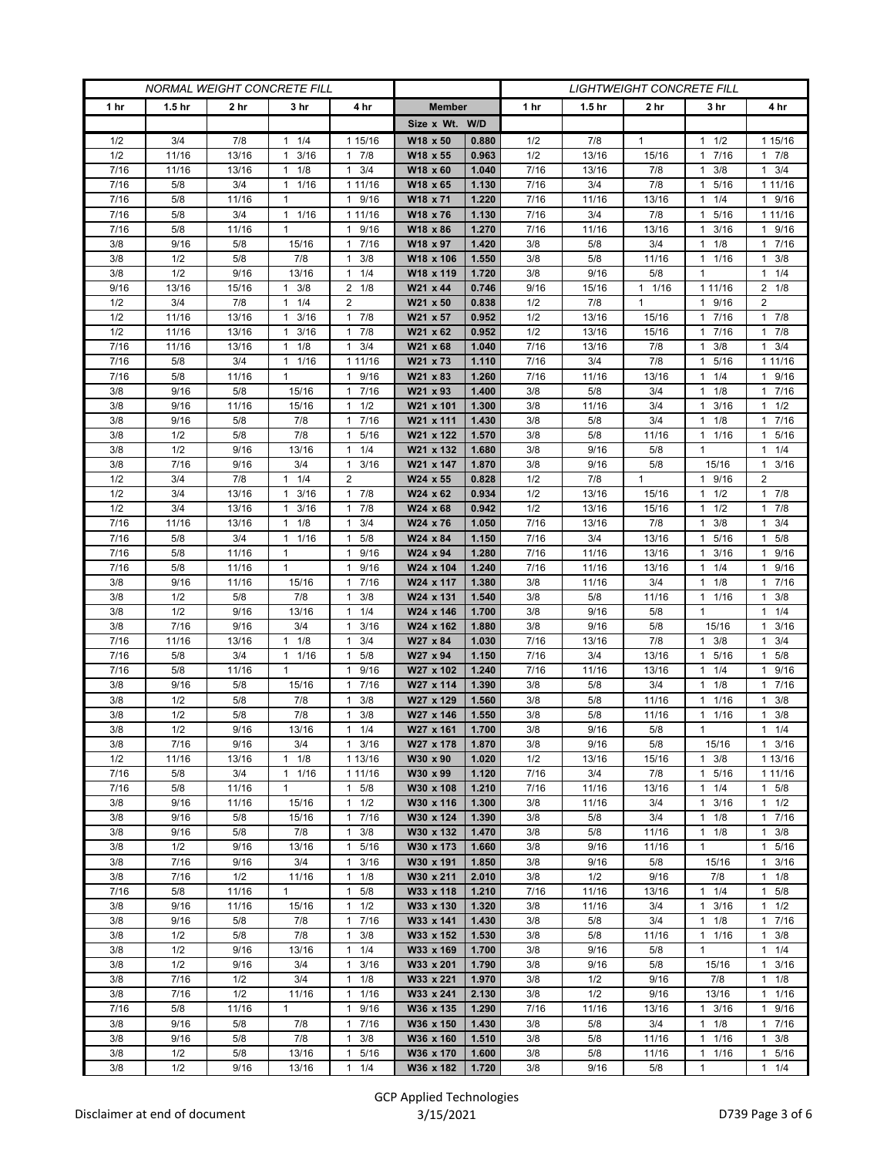| <b>NORMAL WEIGHT CONCRETE FILL</b> |                   |                |                              |                                 | <b>LIGHTWEIGHT CONCRETE FILL</b> |                |            |                   |                     |                                  |                                        |
|------------------------------------|-------------------|----------------|------------------------------|---------------------------------|----------------------------------|----------------|------------|-------------------|---------------------|----------------------------------|----------------------------------------|
| 1 <sub>hr</sub>                    | 1.5 <sub>hr</sub> | 2 hr           | 3 hr                         | 4 hr                            | <b>Member</b>                    |                | 1 hr       | 1.5 <sub>hr</sub> | 2 <sub>hr</sub>     | 3 hr                             | 4 hr                                   |
|                                    |                   |                |                              |                                 | Size x Wt. W/D                   |                |            |                   |                     |                                  |                                        |
| 1/2                                | 3/4               | 7/8            | $1 \t1/4$                    | 1 15/16                         | W18 x 50                         | 0.880          | 1/2        | 7/8               | $\mathbf{1}$        | $1 \t1/2$                        | 1 15/16                                |
| 1/2                                | 11/16             | 13/16          | 3/16<br>$\mathbf{1}$         | 7/8<br>$\mathbf{1}$             | W18 x 55                         | 0.963          | 1/2        | 13/16             | 15/16               | 7/16<br>$\mathbf{1}$             | 17/8                                   |
| 7/16                               | 11/16             | 13/16          | 1/8<br>$\mathbf{1}$          | 3/4<br>$\mathbf{1}$             | W18 x 60                         | 1.040          | 7/16       | 13/16             | 7/8                 | 3/8<br>1                         | $1 \t3/4$                              |
| 7/16                               | 5/8               | 3/4            | $1 \t1/16$                   | 1 11/16                         | W18 x 65                         | 1.130          | 7/16       | 3/4               | 7/8                 | 5/16<br>$\mathbf{1}$             | 1 1 1 / 16                             |
| 7/16                               | 5/8               | 11/16          | 1                            | 9/16<br>$\mathbf{1}$            | W18 x 71                         | 1.220          | 7/16       | 11/16             | 13/16               | 1/4<br>$\mathbf{1}$              | 1 9/16                                 |
| 7/16                               | 5/8               | 3/4            | 11/16                        | 1 11/16                         | W18 x 76                         | 1.130          | 7/16       | 3/4               | 7/8                 | 5/16<br>1                        | 1 1 1 / 1 6                            |
| 7/16                               | 5/8               | 11/16          | $\mathbf{1}$                 | 9/16<br>$\mathbf{1}$            | W18 x 86                         | 1.270          | 7/16       | 11/16             | 13/16               | 3/16<br>1                        | 1 9/16                                 |
| 3/8                                | 9/16              | 5/8            | 15/16                        | 7/16<br>1                       | W18 x 97                         | 1.420          | 3/8        | 5/8               | 3/4                 | 1/8<br>$\mathbf{1}$              | 1 7/16                                 |
| 3/8                                | 1/2               | 5/8            | 7/8                          | 3/8<br>1                        | W18 x 106                        | 1.550          | 3/8        | 5/8               | 11/16               | 1/16<br>1                        | 3/8<br>$\mathbf{1}$                    |
| 3/8                                | 1/2               | 9/16           | 13/16                        | 1/4<br>$\mathbf{1}$             | W18 x 119                        | 1.720          | 3/8        | 9/16              | 5/8                 | $\mathbf{1}$                     | $1 \t1/4$                              |
| 9/16                               | 13/16             | 15/16          | 3/8<br>$\mathbf{1}$          | $2 \t1/8$                       | W21 x 44                         | 0.746          | 9/16       | 15/16             | $1 \t1/16$          | 1 1 1/16                         | $2 \t1/8$                              |
| 1/2                                | 3/4               | 7/8            | 1/4<br>1                     | 2                               | W21 x 50                         | 0.838          | 1/2        | 7/8               | $\mathbf{1}$        | 9/16<br>1                        | $\overline{2}$                         |
| 1/2                                | 11/16             | 13/16          | 3/16<br>1                    | 7/8<br>$\mathbf{1}$             | W21 x 57                         | 0.952          | 1/2        | 13/16             | 15/16               | 7/16<br>1                        | 17/8                                   |
| 1/2                                | 11/16             | 13/16          | 3/16<br>1                    | 7/8<br>$\mathbf{1}$             | W21 x 62                         | 0.952          | 1/2        | 13/16             | 15/16               | 7/16<br>1                        | 17/8                                   |
| 7/16                               | 11/16             | 13/16          | $1 \t1/8$                    | 3/4<br>1                        | W21 x 68                         | 1.040          | 7/16       | 13/16             | 7/8                 | 3/8<br>1                         | $1 \t3/4$                              |
| 7/16                               | 5/8               | 3/4            | $1 \t1/16$                   | 1 11/16                         | W21 x 73                         | 1.110          | 7/16       | 3/4               | 7/8                 | 5/16<br>1                        | 1 1 1 / 1 6                            |
| 7/16                               | 5/8               | 11/16          | $\mathbf{1}$                 | 9/16<br>1                       | W21 x 83                         | 1.260          | 7/16       | 11/16             | 13/16               | 1/4<br>1                         | 1 9/16                                 |
| 3/8                                | 9/16              | 5/8            | 15/16                        | 7/16<br>$\mathbf{1}$            | W21 x 93                         | 1.400          | 3/8        | 5/8               | 3/4                 | 1/8<br>1                         | 17/16                                  |
| 3/8                                | 9/16              | 11/16          | 15/16                        | 1/2<br>1                        | W21 x 101                        | 1.300          | 3/8        | 11/16             | 3/4                 | $1 \t3/16$                       | $1 \t1/2$                              |
| 3/8                                | 9/16              | 5/8            | 7/8                          | 7/16<br>1                       | W21 x 111                        | 1.430          | 3/8        | 5/8               | 3/4                 | 1/8<br>1                         | 7/16<br>1.                             |
| 3/8                                | 1/2               | 5/8            | 7/8                          | 5/16<br>1                       | W21 x 122                        | 1.570          | 3/8        | 5/8               | 11/16               | 1/16<br>$\mathbf{1}$             | 1 5/16                                 |
| 3/8                                | 1/2               | 9/16           | 13/16                        | 1/4<br>1                        | W21 x 132                        | 1.680          | 3/8        | 9/16              | 5/8                 | $\mathbf{1}$                     | $1 \t1/4$                              |
| 3/8                                | 7/16              | 9/16           | 3/4                          | 3/16<br>1<br>$\overline{2}$     | W21 x 147                        | 1.870          | 3/8        | 9/16              | 5/8<br>$\mathbf{1}$ | 15/16                            | 3/16<br>$\mathbf{1}$<br>$\overline{2}$ |
| 1/2<br>1/2                         | 3/4<br>3/4        | 7/8            | $1 \t1/4$<br>$\mathbf{1}$    |                                 | W24 x 55                         | 0.828          | 1/2        | 7/8               |                     | 1 9/16                           |                                        |
| 1/2                                | 3/4               | 13/16<br>13/16 | 3/16<br>3/16<br>$\mathbf{1}$ | $\mathbf{1}$<br>7/8<br>7/8<br>1 | W24 x 62<br>W24 x 68             | 0.934<br>0.942 | 1/2<br>1/2 | 13/16<br>13/16    | 15/16<br>15/16      | $1 \t1/2$<br>1/2<br>$\mathbf{1}$ | $1 \t7/8$                              |
| 7/16                               | 11/16             | 13/16          | 1/8<br>$\mathbf{1}$          | 3/4<br>1                        | W24 x 76                         | 1.050          | 7/16       | 13/16             | 7/8                 | 3/8<br>1                         | $1 \t7/8$<br>$1 \t3/4$                 |
| 7/16                               | 5/8               | 3/4            | $1 \t1/16$                   | $\mathbf{1}$<br>5/8             | W24 x 84                         | 1.150          | 7/16       | 3/4               | 13/16               | 5/16<br>1                        | 1 5/8                                  |
| 7/16                               | 5/8               | 11/16          | $\mathbf{1}$                 | 9/16<br>1                       | W24 x 94                         | 1.280          | 7/16       | 11/16             | 13/16               | 3/16<br>1                        | 1 9/16                                 |
| 7/16                               | 5/8               | 11/16          | $\mathbf{1}$                 | 9/16<br>1                       | W24 x 104                        | 1.240          | 7/16       | 11/16             | 13/16               | 1/4<br>1                         | 1 9/16                                 |
| 3/8                                | 9/16              | 11/16          | 15/16                        | 7/16<br>1                       | W24 x 117                        | 1.380          | 3/8        | 11/16             | 3/4                 | 1/8<br>1                         | 1 7/16                                 |
| 3/8                                | 1/2               | 5/8            | 7/8                          | 3/8<br>1                        | W24 x 131                        | 1.540          | 3/8        | 5/8               | 11/16               | 1/16<br>1                        | $1 \t3/8$                              |
| 3/8                                | 1/2               | 9/16           | 13/16                        | 1/4<br>$\mathbf{1}$             | W24 x 146                        | 1.700          | 3/8        | 9/16              | 5/8                 | $\mathbf{1}$                     | $1 \t1/4$                              |
| 3/8                                | 7/16              | 9/16           | 3/4                          | 3/16<br>1                       | W24 x 162                        | 1.880          | 3/8        | 9/16              | 5/8                 | 15/16                            | $\mathbf{1}$<br>3/16                   |
| 7/16                               | 11/16             | 13/16          | 1/8<br>$\mathbf{1}$          | 3/4<br>$\mathbf{1}$             | W27 x 84                         | 1.030          | 7/16       | 13/16             | 7/8                 | 3/8<br>1                         | $1 \t3/4$                              |
| 7/16                               | 5/8               | 3/4            | 1/16<br>1                    | 5/8<br>1                        | W27 x 94                         | 1.150          | 7/16       | 3/4               | 13/16               | 5/16<br>1                        | 1 5/8                                  |
| 7/16                               | 5/8               | 11/16          | $\mathbf{1}$                 | 9/16<br>$\mathbf{1}$            | W27 x 102                        | 1.240          | 7/16       | 11/16             | 13/16               | 1/4<br>1                         | 1 9/16                                 |
| 3/8                                | 9/16              | 5/8            | 15/16                        | 7/16<br>1                       | W27 x 114                        | 1.390          | 3/8        | 5/8               | 3/4                 | 1/8<br>1                         | 7/16<br>1.                             |
| 3/8                                | 1/2               | 5/8            | 7/8                          | 3/8<br>1                        | W27 x 129                        | 1.560          | 3/8        | 5/8               | 11/16               | 1/16<br>1                        | 3/8<br>1                               |
| 3/8                                | 1/2               | 5/8            | 7/8                          | 3/8<br>1                        | W27 x 146                        | 1.550          | 3/8        | 5/8               | 11/16               | 1/16<br>$\mathbf{1}$             | $1 \t3/8$                              |
| 3/8                                | 1/2               | 9/16           | 13/16                        | 1/4<br>1                        | W27 x 161                        | 1.700          | 3/8        | 9/16              | 5/8                 | 1                                | $1 \t1/4$                              |
| 3/8                                | 7/16              | 9/16           | 3/4                          | $1 \t3/16$                      | W27 x 178                        | 1.870          | 3/8        | 9/16              | 5/8                 | 15/16                            | $1 \t3/16$                             |
| 1/2                                | 11/16             | 13/16          | $1 \t1/8$                    | 1 13/16                         | W30 x 90                         | 1.020          | 1/2        | 13/16             | 15/16               | $1 \t3/8$                        | 1 13/16                                |
| 7/16                               | 5/8               | 3/4            | 11/16                        | 1 11/16                         | W30 x 99                         | 1.120          | 7/16       | 3/4               | 7/8                 | 1 5/16                           | 1 1 1 / 16                             |
| 7/16                               | 5/8               | 11/16          | $\mathbf{1}$                 | 5/8<br>$\mathbf{1}$             | W30 x 108                        | 1.210          | 7/16       | 11/16             | 13/16               | 1/4<br>1                         | $1 \t5/8$                              |
| 3/8                                | 9/16              | 11/16          | 15/16                        | $1 \t1/2$                       | W30 x 116                        | 1.300          | 3/8        | 11/16             | 3/4                 | 3/16<br>$\mathbf{1}$             | $1 \t1/2$                              |
| 3/8                                | 9/16              | 5/8            | 15/16                        | 7/16<br>$\mathbf{1}$            | W30 x 124                        | 1.390          | 3/8        | 5/8               | 3/4                 | $1 \t1/8$                        | 17/16                                  |
| 3/8                                | 9/16              | 5/8            | 7/8                          | 3/8<br>$\mathbf{1}$             | W30 x 132                        | 1.470          | 3/8        | 5/8               | 11/16               | 1/8<br>$\mathbf{1}$              | $1 \t3/8$                              |
| 3/8                                | 1/2               | 9/16           | 13/16                        | $\mathbf{1}$<br>5/16            | W30 x 173                        | 1.660          | 3/8        | 9/16              | 11/16               | $\mathbf{1}$                     | 1 5/16                                 |
| 3/8                                | 7/16              | 9/16           | 3/4                          | 3/16<br>$\mathbf{1}$            | W30 x 191                        | 1.850          | 3/8        | 9/16              | 5/8                 | 15/16                            | $1 \t3/16$                             |
| 3/8                                | 7/16              | 1/2            | 11/16                        | 1/8<br>$\mathbf{1}$             | W30 x 211                        | 2.010          | 3/8        | 1/2               | 9/16                | 7/8                              | $1 \t1/8$                              |
| 7/16                               | 5/8               | 11/16          | $\mathbf{1}$                 | 5/8<br>$\mathbf{1}$             | W33 x 118                        | 1.210          | 7/16       | 11/16             | 13/16               | $1 \t1/4$                        | $1 \t5/8$                              |
| 3/8                                | 9/16              | 11/16          | 15/16                        | 1/2<br>$\mathbf{1}$             | W33 x 130                        | 1.320          | 3/8        | 11/16             | 3/4                 | $1 \t3/16$                       | $1 \t1/2$                              |
| 3/8                                | 9/16              | 5/8            | 7/8                          | 7/16<br>$\mathbf{1}$            | W33 x 141                        | 1.430          | 3/8        | 5/8               | 3/4                 | 1/8<br>$\mathbf{1}$              | 17/16                                  |
| 3/8<br>3/8                         | 1/2<br>1/2        | 5/8<br>9/16    | 7/8                          | 3/8<br>$\mathbf{1}$<br>1/4<br>1 | W33 x 152<br>W33 x 169           | 1.530          | 3/8<br>3/8 | 5/8               | 11/16               | 11/16<br>$\mathbf{1}$            | $1 \t3/8$<br>$1 \t1/4$                 |
| 3/8                                | 1/2               | 9/16           | 13/16<br>3/4                 | 3/16<br>$\mathbf{1}$            | W33 x 201                        | 1.700<br>1.790 | 3/8        | 9/16<br>9/16      | 5/8<br>5/8          | 15/16                            | $1 \t3/16$                             |
| 3/8                                | 7/16              | 1/2            | 3/4                          | $\mathbf{1}$<br>1/8             | W33 x 221                        | 1.970          | 3/8        | 1/2               | 9/16                | 7/8                              | $1 \t1/8$                              |
| 3/8                                | 7/16              | 1/2            | 11/16                        | $\mathbf{1}$<br>1/16            | W33 x 241                        | 2.130          | 3/8        | 1/2               | 9/16                | 13/16                            | 11/16                                  |
| 7/16                               | 5/8               | 11/16          | $\mathbf{1}$                 | 9/16<br>$\mathbf{1}$            | W36 x 135                        | 1.290          | 7/16       | 11/16             | 13/16               | 3/16<br>$\mathbf{1}$             | 1 9/16                                 |
| 3/8                                | 9/16              | 5/8            | 7/8                          | 7/16<br>$\mathbf{1}$            | W36 x 150                        | 1.430          | 3/8        | 5/8               | 3/4                 | $1 \t1/8$                        | 17/16                                  |
| 3/8                                | 9/16              | 5/8            | 7/8                          | 3/8<br>1                        | W36 x 160                        | 1.510          | 3/8        | 5/8               | 11/16               | 1/16<br>1                        | $1 \t3/8$                              |
| 3/8                                | 1/2               | 5/8            | 13/16                        | 5/16<br>1                       | W36 x 170                        | 1.600          | 3/8        | 5/8               | 11/16               | 1 1/16                           | 1 5/16                                 |
| 3/8                                | 1/2               | 9/16           | 13/16                        | 1/4<br>1                        | W36 x 182                        | 1.720          | 3/8        | 9/16              | 5/8                 | $\mathbf{1}$                     | $1 \t1/4$                              |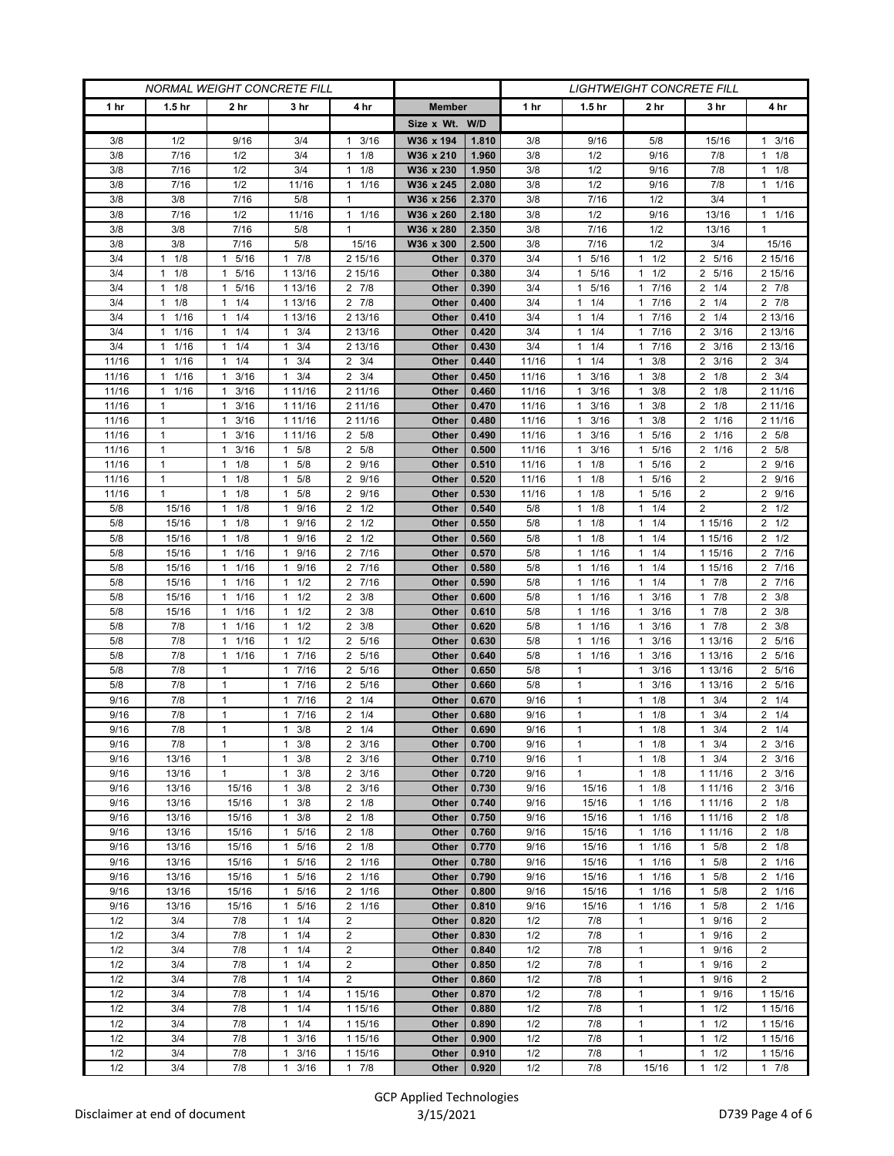| <b>NORMAL WEIGHT CONCRETE FILL</b> |                      |                         |                                  |                         |                |                | <b>LIGHTWEIGHT CONCRETE FILL</b> |                          |                                     |                            |                      |  |
|------------------------------------|----------------------|-------------------------|----------------------------------|-------------------------|----------------|----------------|----------------------------------|--------------------------|-------------------------------------|----------------------------|----------------------|--|
| 1 hr                               | 1.5 <sub>hr</sub>    | 2 hr                    | 3 hr                             | 4 hr                    | <b>Member</b>  |                | 1 hr                             | 1.5 <sub>hr</sub>        | 2 hr                                | 3 hr                       | 4 hr                 |  |
|                                    |                      |                         |                                  |                         | Size x Wt. W/D |                |                                  |                          |                                     |                            |                      |  |
| 3/8                                | 1/2                  | 9/16                    | 3/4                              | 3/16<br>1               | W36 x 194      | 1.810          | 3/8                              | 9/16                     | 5/8                                 | 15/16                      | $1 \t3/16$           |  |
| 3/8                                | 7/16                 | 1/2                     | 3/4                              | 1/8<br>$\mathbf{1}$     | W36 x 210      | 1.960          | 3/8                              | 1/2                      | 9/16                                | 7/8                        | $1 \t1/8$            |  |
| 3/8                                | 7/16                 | 1/2                     | 3/4                              | 1/8<br>1                | W36 x 230      | 1.950          | 3/8                              | 1/2                      | 9/16                                | 7/8                        | $1 \t1/8$            |  |
| 3/8                                | 7/16                 | 1/2                     | 11/16                            | 1/16<br>1               | W36 x 245      | 2.080          | 3/8                              | 1/2                      | 9/16                                | 7/8                        | 1/16<br>$\mathbf{1}$ |  |
| 3/8                                | 3/8                  | 7/16                    | 5/8                              | $\mathbf{1}$            | W36 x 256      | 2.370          | 3/8                              | 7/16                     | 1/2                                 | 3/4                        | 1                    |  |
| 3/8                                | 7/16                 | 1/2                     | 11/16                            | $\mathbf{1}$<br>1/16    | W36 x 260      | 2.180          | 3/8                              | 1/2                      | 9/16                                | 13/16                      | $1 \t1/16$           |  |
| 3/8                                | 3/8                  | 7/16                    | 5/8                              | 1                       | W36 x 280      | 2.350          | 3/8                              | 7/16                     | 1/2                                 | 13/16                      | 1                    |  |
| 3/8                                | 3/8                  | 7/16                    | 5/8                              | 15/16                   | W36 x 300      | 2.500          | 3/8                              | 7/16                     | 1/2                                 | 3/4                        | 15/16                |  |
| 3/4                                | 1/8<br>1             | 5/16<br>1               | 7/8<br>$\mathbf{1}$              | 2 15/16                 | Other          | 0.370          | 3/4                              | 5/16<br>$\mathbf{1}$     | 1/2<br>$\mathbf{1}$                 | 2 5/16                     | 2 15/16              |  |
| 3/4                                | 1/8<br>$\mathbf{1}$  | 5/16<br>1               | 1 13/16                          | 2 15/16                 | Other          | 0.380          | 3/4                              | 5/16<br>$\mathbf{1}$     | 1/2<br>$\mathbf{1}$                 | 2 5/16                     | 2 15/16              |  |
| 3/4                                | 1/8<br>$\mathbf{1}$  | 5/16<br>$\mathbf{1}$    | 1 13/16                          | $2 \t 7/8$              | Other          | 0.390          | 3/4                              | 5/16<br>$\mathbf{1}$     | 7/16<br>$\mathbf{1}$                | $2 \frac{1}{4}$            | $2 \t 7/8$           |  |
| 3/4                                | 1/8<br>$\mathbf{1}$  | 1/4<br>1                | 1 13/16                          | $2 \t 7/8$              | Other          | 0.400          | 3/4                              | 1/4<br>$\mathbf{1}$      | 7/16<br>$\mathbf{1}$                | $2 \t1/4$                  | $2 \t 7/8$           |  |
| 3/4                                | 1/16<br>$\mathbf{1}$ | 1/4<br>$\mathbf{1}$     | 1 13/16                          | 2 13/16                 | Other          | 0.410          | 3/4                              | 1/4<br>$\mathbf{1}$      | 7/16<br>$\mathbf{1}$                | $2 \t1/4$                  | 2 13/16              |  |
| 3/4                                | 1/16<br>$\mathbf{1}$ | 1/4<br>$\mathbf{1}$     | 3/4<br>$\mathbf{1}$              | 2 13/16                 | Other          | 0.420          | 3/4                              | 11/4                     | 7/16<br>$\mathbf{1}$                | 3/16<br>2                  | 2 13/16              |  |
| 3/4                                | 1/16<br>$\mathbf{1}$ | $1 \t1/4$               | $1 \t3/4$                        | 2 13/16                 | Other          | 0.430          | 3/4                              | $1 \t1/4$                | 7/16<br>$\mathbf{1}$                | $2 \frac{3}{16}$           | 2 13/16              |  |
| 11/16                              | 1/16<br>1            | $1 \t1/4$               | 3/4<br>$\mathbf{1}$              | $2 \frac{3}{4}$         | Other          | 0.440          | 11/16                            | $1 \t1/4$                | 3/8<br>$\mathbf{1}$                 | $2 \frac{3}{16}$           | $2 \frac{3}{4}$      |  |
| 11/16                              | 1/16<br>$\mathbf{1}$ | 3/16<br>$\mathbf{1}$    | 3/4<br>$\mathbf{1}$              | 3/4<br>2                | Other          | 0.450          | 11/16                            | 3/16<br>$\mathbf{1}$     | 3/8<br>$\mathbf{1}$                 | 2<br>1/8                   | $2 \frac{3}{4}$      |  |
| 11/16                              | 1/16<br>$\mathbf{1}$ | 3/16<br>$\mathbf{1}$    | 1 11/16                          | 2 11/16                 | Other          | 0.460          | 11/16                            | 3/16<br>$\mathbf{1}$     | 3/8<br>$\mathbf{1}$                 | $2 \t1/8$                  | 2 11/16              |  |
| 11/16                              | 1                    | $1 \t3/16$              | 1 11/16                          | 2 11/16                 | Other          | 0.470          | 11/16                            | $1 \t3/16$               | 3/8<br>1                            | $2 \t1/8$                  | 2 11/16              |  |
| 11/16                              | 1                    | 3/16<br>1               | 1 11/16                          | 2 11/16                 | Other          | 0.480          | 11/16                            | 3/16<br>1                | 3/8<br>$\mathbf{1}$                 | 2<br>1/16                  | 2 11/16              |  |
| 11/16                              | $\mathbf{1}$         | 3/16<br>1               | 1 11/16                          | 5/8<br>2                | Other          | 0.490          | 11/16                            | 3/16<br>$\mathbf{1}$     | $5/16$<br>$\mathbf{1}$              | 1/16<br>2                  | 2 5/8                |  |
| 11/16                              | $\mathbf{1}$         | 3/16<br>$\mathbf{1}$    | $1 \t5/8$                        | 2 5/8                   | Other          | 0.500          | 11/16                            | 3/16<br>$\mathbf{1}$     | 5/16<br>1                           | 2 1/16                     | 2 5/8                |  |
| 11/16                              | 1                    | 1/8<br>1                | 5/8<br>$\mathbf{1}$              | 2<br>9/16               | Other          | 0.510          | 11/16                            | $1 \t1/8$                | 5/16<br>$\mathbf{1}$                | 2                          | 2 9/16               |  |
| 11/16                              | $\mathbf{1}$         | 1<br>1/8                | 5/8<br>$\mathbf{1}$              | 9/16<br>$\overline{2}$  | Other          | 0.520          | 11/16                            | $1 \t1/8$                | 5/16<br>$\mathbf{1}$                | 2                          | 2 9/16               |  |
| 11/16                              | $\mathbf{1}$         | $1 \t1/8$               | $\mathbf{1}$<br>5/8              | 9/16<br>$\overline{2}$  | Other          | 0.530          | 11/16                            | $1 \t1/8$                | 5/16<br>$\mathbf{1}$                | 2                          | 2 9/16               |  |
| 5/8                                | 15/16                | 1/8<br>$\mathbf{1}$     | 9/16<br>1                        | $2 \frac{1}{2}$         | Other          | 0.540          | 5/8                              | $1 \t1/8$                | 1/4<br>$\mathbf{1}$                 | 2                          | $2 \frac{1}{2}$      |  |
| 5/8                                | 15/16                | 1/8<br>$\mathbf{1}$     | 9/16<br>$\mathbf{1}$             | 1/2<br>2                | Other          | 0.550          | 5/8                              | $1 \t1/8$                | 1/4<br>$\mathbf{1}$                 | 1 15/16                    | $2 \frac{1}{2}$      |  |
| 5/8                                | 15/16                | 1/8<br>$\mathbf{1}$     | $\mathbf{1}$<br>9/16             | $\overline{2}$<br>1/2   | Other          | 0.560          | 5/8                              | $1 \t1/8$                | 1/4<br>$\mathbf{1}$                 | 1 15/16                    | $2 \frac{1}{2}$      |  |
| 5/8                                | 15/16                | 1/16<br>$\mathbf{1}$    | 9/16<br>1                        | 2 7/16<br>2 7/16        | Other<br>Other | 0.570<br>0.580 | 5/8                              | $1 \t1/16$<br>$1 \t1/16$ | 1/4<br>$\mathbf{1}$<br>1/4          | 1 15/16                    | 2 7/16<br>2 7/16     |  |
| 5/8<br>5/8                         | 15/16<br>15/16       | $1 \t1/16$<br>1/16<br>1 | 9/16<br>1<br>$\mathbf{1}$<br>1/2 | 7/16<br>2               |                | 0.590          | 5/8<br>5/8                       | 1/16<br>$\mathbf{1}$     | $\mathbf{1}$<br>1/4<br>$\mathbf{1}$ | 1 15/16<br>7/8<br>1        | 2 7/16               |  |
| 5/8                                | 15/16                | 1/16<br>1               | 1/2<br>1                         | 3/8<br>2                | Other<br>Other | 0.600          | 5/8                              | 1/16<br>1                | 3/16<br>$\mathbf{1}$                | 7/8<br>1                   | $2 \frac{3}{8}$      |  |
| 5/8                                | 15/16                | $1 \t1/16$              | $1 \t1/2$                        | 3/8<br>2                | Other          | 0.610          | 5/8                              | $1 \t1/16$               | 3/16<br>1                           | 17/8                       | $2 \frac{3}{8}$      |  |
| 5/8                                | 7/8                  | 1/16<br>$\mathbf{1}$    | $1 \t1/2$                        | 3/8<br>2                | Other          | 0.620          | 5/8                              | 1/16<br>$\mathbf{1}$     | 3/16<br>$\mathbf{1}$                | 17/8                       | $2 \frac{3}{8}$      |  |
| 5/8                                | 7/8                  | 1/16<br>1               | 1/2<br>1                         | 5/16<br>$\overline{2}$  | Other          | 0.630          | 5/8                              | 1/16<br>$\mathbf{1}$     | 3/16<br>$\mathbf{1}$                | 1 13/16                    | 2 5/16               |  |
| 5/8                                | 7/8                  | 1/16<br>$\mathbf{1}$    | 7/16<br>$\mathbf{1}$             | 5/16<br>2               | Other          | 0.640          | 5/8                              | 11/16                    | 3/16<br>$\mathbf{1}$                | 1 13/16                    | 2 5/16               |  |
| 5/8                                | 7/8                  | $\mathbf{1}$            | 1 7/16                           | 5/16<br>2               | Other          | 0.650          | 5/8                              | $\mathbf{1}$             | 3/16<br>$\mathbf{1}$                | 1 13/16                    | 2 5/16               |  |
| 5/8                                | 7/8                  | $\mathbf{1}$            | 7/16<br>1                        | 2<br>5/16               | Other          | 0.660          | 5/8                              | 1                        | 3/16<br>$\mathbf{1}$                | 1 13/16                    | 2 5/16               |  |
| 9/16                               | 7/8                  | $\mathbf{1}$            | 7/16<br>$\mathbf{1}$             | $\overline{2}$<br>1/4   | Other          | 0.670          | 9/16                             | $\mathbf{1}$             | 1/8<br>$\mathbf{1}$                 | 3/4<br>1                   | $2 \t1/4$            |  |
| 9/16                               | 7/8                  | $\mathbf{1}$            | 7/16<br>$\mathbf{1}$             | $\overline{2}$<br>1/4   | Other          | 0.680          | 9/16                             | $\mathbf{1}$             | 1/8<br>$\mathbf{1}$                 | 3/4<br>1                   | $2 \t1/4$            |  |
| 9/16                               | 7/8                  | $\mathbf{1}$            | 3/8<br>1                         | 1/4<br>2                | Other          | 0.690          | 9/16                             | $\mathbf{1}$             | 1/8<br>$\mathbf{1}$                 | 3/4<br>1                   | $2 \t1/4$            |  |
| 9/16                               | 7/8                  | 1                       | 3/8<br>$\mathbf{1}$              | $2 \frac{3}{16}$        | Other          | 0.700          | 9/16                             | 1                        | 1/8<br>$\mathbf{1}$                 | 3/4<br>$\mathbf{1}$        | $2 \frac{3}{16}$     |  |
| 9/16                               | 13/16                | $\mathbf{1}$            | $1 \t3/8$                        | $2 \frac{3}{16}$        | Other          | 0.710          | 9/16                             | $\mathbf{1}$             | 1/8<br>$\mathbf{1}$                 | 3/4<br>1                   | $2 \frac{3}{16}$     |  |
| 9/16                               | 13/16                | 1                       | $1 \t3/8$                        | $2 \frac{3}{16}$        | Other          | 0.720          | 9/16                             | $\mathbf{1}$             | 1/8<br>$\mathbf{1}$                 | 1 1 1 / 16                 | $2 \frac{3}{16}$     |  |
| 9/16                               | 13/16                | 15/16                   | 3/8<br>1                         | $2 \frac{3}{16}$        | Other          | 0.730          | 9/16                             | 15/16                    | 1/8<br>$\mathbf{1}$                 | 1 1 1 / 1 6                | 2 3/16               |  |
| 9/16                               | 13/16                | 15/16                   | $1 \t3/8$                        | $2 \t1/8$               | Other          | 0.740          | 9/16                             | 15/16                    | 1/16<br>$\mathbf{1}$                | 1 1 1 / 16                 | $2 \t1/8$            |  |
| 9/16                               | 13/16                | 15/16                   | $1 \t3/8$                        | $2 \t1/8$               | Other          | 0.750          | 9/16                             | 15/16                    | 1/16<br>$\mathbf{1}$                | 1 1 1 / 16                 | $2 \t1/8$            |  |
| 9/16                               | 13/16                | 15/16                   | 5/16<br>1                        | 1/8<br>2                | Other          | 0.760          | 9/16                             | 15/16                    | 1/16<br>$\mathbf{1}$                | 1 1 1 / 16                 | $2 \t1/8$            |  |
| 9/16                               | 13/16                | 15/16                   | 1 5/16                           | $2 \t1/8$               | Other          | 0.770          | 9/16                             | 15/16                    | $1/16$<br>$\mathbf{1}$              | $1 \t5/8$                  | $2 \t1/8$            |  |
| 9/16                               | 13/16                | 15/16                   | 1 5/16                           | 2 1/16                  | Other          | 0.780          | 9/16                             | 15/16                    | 1/16<br>$\mathbf{1}$                | $1 \t5/8$                  | 2 1/16               |  |
| 9/16                               | 13/16                | 15/16                   | 1 5/16                           | 2 1/16                  | Other          | 0.790          | 9/16                             | 15/16                    | 1/16<br>$\mathbf{1}$                | 5/8<br>$\mathbf{1}$        | 2 1/16               |  |
| 9/16                               | 13/16                | 15/16                   | 5/16<br>$\mathbf{1}$             | 2 1/16                  | Other          | 0.800          | 9/16                             | 15/16                    | 1/16<br>$\mathbf{1}$                | 5/8<br>$\mathbf{1}$        | 2 1/16               |  |
| 9/16                               | 13/16                | 15/16                   | 1 5/16                           | 2 1/16                  | Other          | 0.810          | 9/16                             | 15/16                    | 1/16<br>$\mathbf{1}$                | 5/8<br>1                   | 2 1/16               |  |
| 1/2                                | 3/4                  | 7/8                     | $1 \t1/4$                        | $\overline{2}$          | Other          | 0.820          | 1/2                              | 7/8                      | $\mathbf{1}$                        | 9/16<br>$\mathbf{1}$       | $\overline{2}$       |  |
| 1/2                                | 3/4                  | 7/8                     | $1 \t1/4$                        | $\overline{\mathbf{c}}$ | Other          | 0.830          | 1/2                              | 7/8                      | $\mathbf{1}$                        | 9/16<br>1                  | $\overline{2}$       |  |
| 1/2                                | 3/4                  | 7/8                     | $1 \t1/4$                        | $\overline{c}$          | Other          | 0.840          | 1/2                              | 7/8                      | $\mathbf{1}$                        | 9/16<br>1                  | $\overline{2}$       |  |
| 1/2                                | 3/4                  | 7/8                     | $1 \t1/4$                        | $\overline{2}$          | Other          | 0.850          | 1/2                              | 7/8                      | $\mathbf{1}$                        | 9/16<br>1                  | $\overline{2}$       |  |
| 1/2                                | 3/4                  | 7/8                     | $1 \t1/4$                        | $\overline{2}$          | Other          | 0.860          | 1/2                              | 7/8                      | $\mathbf{1}$                        | 9/16<br>$\mathbf{1}$       | $\overline{2}$       |  |
| 1/2                                | 3/4                  | 7/8                     | $1 \t1/4$                        | 1 15/16                 | Other          | 0.870          | 1/2                              | 7/8                      | $\mathbf{1}$                        | 9/16<br>1                  | 1 15/16              |  |
| 1/2<br>1/2                         | 3/4<br>3/4           | 7/8<br>7/8              | 1/4<br>$\mathbf{1}$              | 1 15/16                 | Other<br>Other | 0.880<br>0.890 | 1/2<br>1/2                       | 7/8<br>7/8               | $\mathbf{1}$<br>$\mathbf{1}$        | 1/2<br>$\mathbf{1}$        | 1 15/16              |  |
| 1/2                                |                      | 7/8                     | $1 \t1/4$<br>3/16<br>1           | 1 15/16                 |                | 0.900          |                                  |                          | $\mathbf{1}$                        | 1/2<br>$\mathbf{1}$<br>1   | 1 15/16              |  |
| 1/2                                | 3/4<br>3/4           | 7/8                     | 1                                | 1 15/16                 | Other<br>Other | 0.910          | 1/2<br>1/2                       | 7/8<br>7/8               | $\mathbf{1}$                        | 1/2<br>1/2<br>$\mathbf{1}$ | 1 15/16              |  |
| 1/2                                | 3/4                  | 7/8                     | 3/16<br>3/16<br>$\mathbf{1}$     | 1 15/16<br>17/8         | Other          | 0.920          | 1/2                              | 7/8                      | 15/16                               | $1 \t1/2$                  | 1 15/16<br>17/8      |  |
|                                    |                      |                         |                                  |                         |                |                |                                  |                          |                                     |                            |                      |  |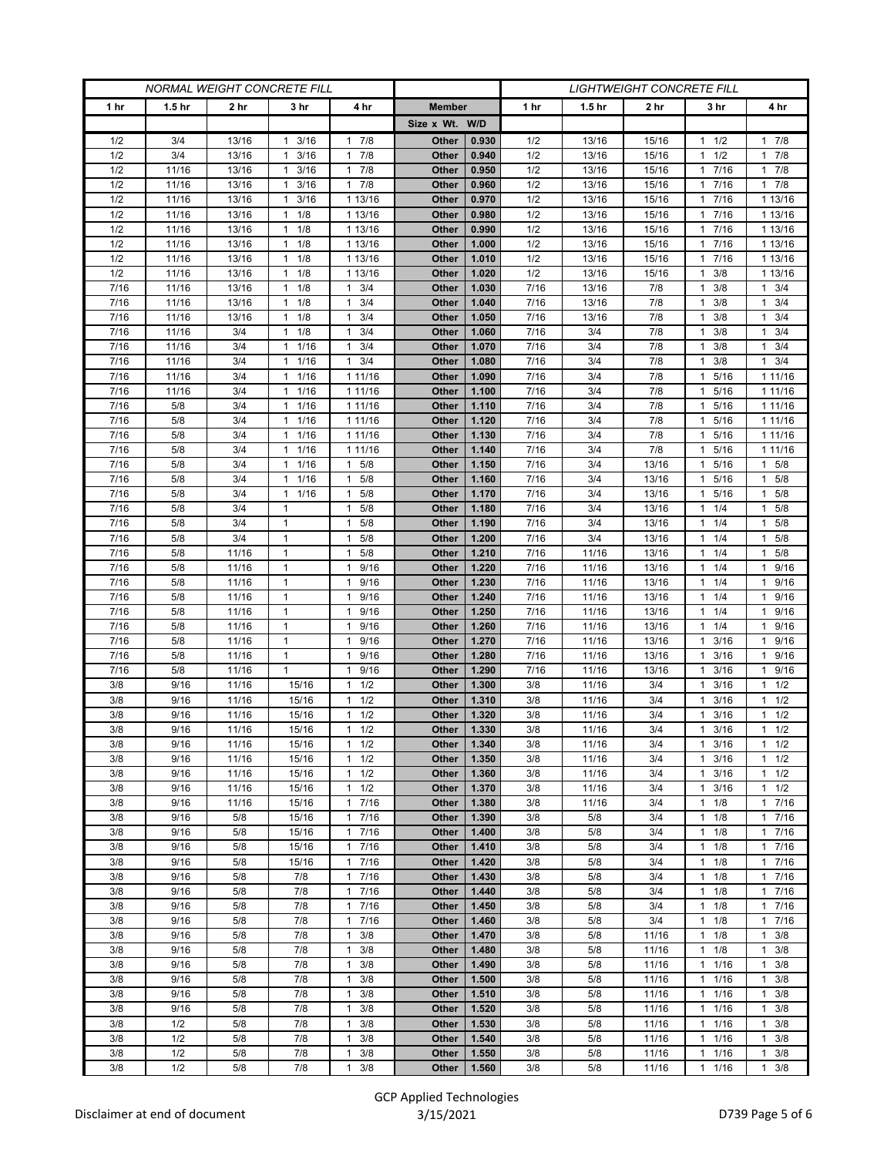| <b>NORMAL WEIGHT CONCRETE FILL</b> |                   |            |                                      | <b>LIGHTWEIGHT CONCRETE FILL</b>    |                |                |              |                   |                |                         |                      |
|------------------------------------|-------------------|------------|--------------------------------------|-------------------------------------|----------------|----------------|--------------|-------------------|----------------|-------------------------|----------------------|
| 1 hr                               | 1.5 <sub>hr</sub> | 2 hr       | 3 hr                                 | 4 hr                                | <b>Member</b>  |                | 1 hr         | 1.5 <sub>hr</sub> | 2 hr           | 3 hr                    | 4 hr                 |
|                                    |                   |            |                                      |                                     | Size x Wt. W/D |                |              |                   |                |                         |                      |
| 1/2                                | 3/4               | 13/16      | $1 \t3/16$                           | 7/8<br>$\mathbf{1}$                 | Other          | 0.930          | 1/2          | 13/16             | 15/16          | $1 \t1/2$               | 17/8                 |
| 1/2                                | 3/4               | 13/16      | 3/16<br>1                            | 7/8<br>1                            | Other          | 0.940          | 1/2          | 13/16             | 15/16          | 1/2<br>1                | 17/8                 |
| 1/2                                | 11/16             | 13/16      | 3/16<br>$\mathbf{1}$                 | 7/8<br>$\mathbf{1}$                 | Other          | 0.950          | 1/2          | 13/16             | 15/16          | 7/16<br>1.              | 17/8                 |
| 1/2                                | 11/16             | 13/16      | 3/16<br>1                            | 7/8<br>$\mathbf{1}$                 | Other          | 0.960          | 1/2          | 13/16             | 15/16          | 7/16<br>1               | $1 \t7/8$            |
| 1/2                                | 11/16             | 13/16      | 3/16<br>1                            | 1 13/16                             | Other          | 0.970          | 1/2          | 13/16             | 15/16          | 7/16<br>1               | 1 13/16              |
| 1/2                                | 11/16             | 13/16      | 1/8<br>$\mathbf{1}$                  | 1 13/16                             | Other          | 0.980          | 1/2          | 13/16             | 15/16          | 7/16<br>1               | 1 13/16              |
| 1/2                                | 11/16             | 13/16      | $1 \t1/8$                            | 1 13/16                             | Other          | 0.990          | 1/2          | 13/16             | 15/16          | 7/16<br>1               | 1 13/16              |
| 1/2                                | 11/16             | 13/16      | 1/8<br>$\mathbf{1}$                  | 1 13/16                             | Other          | 1.000          | 1/2          | 13/16             | 15/16          | 7/16<br>1               | 1 13/16              |
| 1/2                                | 11/16             | 13/16      | 1/8<br>$\mathbf{1}$                  | 1 13/16                             | Other          | 1.010          | 1/2          | 13/16             | 15/16          | 7/16                    | 1 13/16              |
| 1/2                                | 11/16             | 13/16      | 1/8<br>$\mathbf{1}$                  | 1 13/16                             | Other          | 1.020          | 1/2          | 13/16             | 15/16          | 3/8<br>1                | 1 13/16              |
| 7/16                               | 11/16             | 13/16      | 1/8<br>$\mathbf{1}$                  | 3/4<br>$\mathbf{1}$                 | Other          | 1.030          | 7/16         | 13/16             | 7/8            | 3/8<br>1                | $1 \t3/4$            |
| 7/16                               | 11/16             | 13/16      | 1/8<br>$\mathbf{1}$                  | 3/4<br>$\mathbf{1}$                 | Other          | 1.040          | 7/16         | 13/16             | 7/8            | 3/8<br>1                | $1 \t3/4$            |
| 7/16                               | 11/16             | 13/16      | 1/8<br>$\mathbf{1}$                  | 3/4<br>$\mathbf{1}$                 | Other          | 1.050          | 7/16         | 13/16             | 7/8            | 3/8<br>1                | $1 \t3/4$            |
| 7/16                               | 11/16             | 3/4        | 1/8<br>$\mathbf{1}$                  | 3/4<br>$\mathbf{1}$                 | Other          | 1.060          | 7/16         | 3/4               | 7/8            | 3/8<br>1                | 3/4<br>$\mathbf{1}$  |
| 7/16                               | 11/16             | 3/4        | 1 1/16                               | 3/4<br>$\mathbf{1}$                 | Other          | 1.070          | 7/16         | 3/4               | 7/8            | 3/8<br>$\mathbf{1}$     | $1 \t3/4$            |
| 7/16                               | 11/16             | 3/4        | $1 \t1/16$                           | 3/4<br>$\mathbf{1}$                 | Other          | 1.080          | 7/16         | 3/4               | 7/8            | 3/8<br>1                | $1 \t3/4$            |
| 7/16                               | 11/16             | 3/4        | 1/16<br>$\mathbf{1}$                 | 1 11/16                             | Other          | 1.090          | 7/16         | 3/4               | 7/8            | 5/16                    | 1 1 1 / 1 6          |
| 7/16                               | 11/16             | 3/4        | 1/16<br>$\mathbf{1}$                 | 1 11/16                             | Other          | 1.100          | 7/16         | 3/4               | 7/8            | 5/16<br>1               | 1 1 1 / 16           |
| 7/16                               | 5/8               | 3/4        | $1 \t1/16$                           | 1 11/16                             | Other          | 1.110          | 7/16         | 3/4               | 7/8            | 1 5/16                  | 1 1 1 / 16           |
| 7/16                               | 5/8               | 3/4        | 1/16<br>$\mathbf{1}$                 | 1 11/16                             | Other          | 1.120          | 7/16         | 3/4               | 7/8            | 5/16                    | 1 1 1 / 16           |
| 7/16                               | 5/8               | 3/4        | 1/16<br>$\mathbf{1}$                 | 1 11/16                             | Other          | 1.130          | 7/16         | 3/4               | 7/8            | 5/16<br>1               | 1 1 1 / 16           |
| 7/16                               | 5/8               | 3/4        | 11/16                                | 1 11/16                             | Other          | 1.140          | 7/16         | 3/4               | 7/8            | 5/16<br>1               | 1 11/16              |
| 7/16                               | 5/8<br>5/8        | 3/4<br>3/4 | 1/16<br>$\mathbf{1}$<br>$\mathbf{1}$ | 5/8<br>$\mathbf{1}$<br>$\mathbf{1}$ | Other          | 1.150          | 7/16<br>7/16 | 3/4<br>3/4        | 13/16          | 5/16<br>1               | $1 \t5/8$            |
| 7/16<br>7/16                       | 5/8               | 3/4        | 1/16<br>$1 \t1/16$                   | 5/8<br>$\mathbf{1}$<br>5/8          | Other<br>Other | 1.160<br>1.170 | 7/16         | 3/4               | 13/16<br>13/16 | 5/16<br>1<br>5/16<br>1. | 1 5/8<br>$1 \t5/8$   |
| 7/16                               | 5/8               | 3/4        | 1                                    | 5/8<br>1                            | Other          | 1.180          | 7/16         | 3/4               | 13/16          | 1/4<br>1                | $1 \t5/8$            |
| 7/16                               | 5/8               | 3/4        | $\mathbf{1}$                         | 5/8<br>$\mathbf{1}$                 | Other          | 1.190          | 7/16         | 3/4               | 13/16          | 1/4<br>1                | 1 5/8                |
| 7/16                               | 5/8               | 3/4        | $\mathbf{1}$                         | 5/8<br>$\mathbf{1}$                 | Other          | 1.200          | 7/16         | 3/4               | 13/16          | 1/4<br>1                | 1 5/8                |
| 7/16                               | 5/8               | 11/16      | $\mathbf{1}$                         | 5/8<br>$\mathbf{1}$                 | Other          | 1.210          | 7/16         | 11/16             | 13/16          | 1/4<br>1                | $1 \t5/8$            |
| 7/16                               | 5/8               | 11/16      | $\mathbf{1}$                         | 9/16<br>$\mathbf{1}$                | Other          | 1.220          | 7/16         | 11/16             | 13/16          | 1/4<br>$\mathbf{1}$     | 1 9/16               |
| 7/16                               | 5/8               | 11/16      | $\mathbf{1}$                         | 9/16<br>1                           | Other          | 1.230          | 7/16         | 11/16             | 13/16          | 1/4                     | 9/16<br>$\mathbf{1}$ |
| 7/16                               | 5/8               | 11/16      | $\mathbf{1}$                         | 9/16<br>1                           | Other          | 1.240          | 7/16         | 11/16             | 13/16          | 1/4<br>1                | 9/16<br>1            |
| 7/16                               | 5/8               | 11/16      | $\mathbf{1}$                         | 9/16<br>$\mathbf{1}$                | Other          | 1.250          | 7/16         | 11/16             | 13/16          | 1/4<br>1                | 1 9/16               |
| 7/16                               | 5/8               | 11/16      | $\mathbf{1}$                         | 9/16<br>1                           | Other          | 1.260          | 7/16         | 11/16             | 13/16          | 1/4                     | 9/16<br>$\mathbf{1}$ |
| 7/16                               | 5/8               | 11/16      | $\mathbf{1}$                         | 9/16<br>$\mathbf{1}$                | Other          | 1.270          | 7/16         | 11/16             | 13/16          | 3/16<br>1               | 9/16<br>$\mathbf{1}$ |
| 7/16                               | 5/8               | 11/16      | $\mathbf{1}$                         | 9/16<br>$\mathbf{1}$                | Other          | 1.280          | 7/16         | 11/16             | 13/16          | 3/16<br>1               | 9/16<br>$\mathbf{1}$ |
| 7/16                               | 5/8               | 11/16      | $\mathbf{1}$                         | 9/16<br>$\mathbf{1}$                | Other          | 1.290          | 7/16         | 11/16             | 13/16          | 3/16<br>1               | 9/16<br>$\mathbf{1}$ |
| 3/8                                | 9/16              | 11/16      | 15/16                                | 1/2<br>1                            | Other          | 1.300          | 3/8          | 11/16             | 3/4            | 3/16<br>1               | $1 \t1/2$            |
| 3/8                                | 9/16              | 11/16      | 15/16                                | 1/2<br>$\mathbf{1}$                 | Other          | 1.310          | 3/8          | 11/16             | 3/4            | 3/16                    | 1/2<br>$\mathbf{1}$  |
| 3/8                                | 9/16              | 11/16      | 15/16                                | 1/2<br>$\mathbf{1}$                 | Other          | 1.320          | 3/8          | 11/16             | 3/4            | 3/16<br>1               | $1 \t1/2$            |
| 3/8                                | 9/16              | 11/16      | 15/16                                | 1/2<br>$\mathbf{1}$                 | Other          | 1.330          | 3/8          | 11/16             | 3/4            | 3/16<br>1               | $1 \t1/2$            |
| 3/8                                | 9/16              | 11/16      | 15/16                                | 1/2<br>1                            | Other          | 1.340          | 3/8          | 11/16             | 3/4            | 3/16<br>1               | $1 \t1/2$            |
| 3/8                                | 9/16              | 11/16      | 15/16                                | 1/2<br>$\mathbf{1}$                 | Other          | 1.350          | 3/8          | 11/16             | 3/4            | 3/16<br>1               | $1 \t1/2$            |
| 3/8                                | 9/16              | 11/16      | 15/16                                | 1/2<br>1                            | Other          | 1.360          | 3/8          | 11/16             | 3/4            | 3/16<br>1.              | $1 \t1/2$            |
| 3/8                                | 9/16              | 11/16      | 15/16                                | 1/2<br>$\mathbf{1}$                 | Other          | 1.370          | 3/8          | 11/16             | 3/4            | 3/16                    | $1 \t1/2$            |
| 3/8                                | 9/16              | 11/16      | 15/16                                | 7/16<br>$\mathbf{1}$                | Other          | 1.380          | 3/8          | 11/16             | 3/4            | 1/8<br>$\mathbf{1}$     | 17/16                |
| 3/8                                | 9/16              | 5/8        | 15/16                                | 7/16<br>$\mathbf{1}$                | Other          | 1.390          | 3/8          | 5/8               | 3/4            | $1 \t1/8$               | 17/16                |
| 3/8                                | 9/16              | 5/8        | 15/16                                | 7/16<br>$\mathbf{1}$                | Other          | 1.400          | 3/8          | 5/8               | 3/4            | 1/8<br>1                | 17/16                |
| 3/8                                | 9/16              | 5/8        | 15/16                                | 7/16<br>$\mathbf{1}$                | Other          | 1.410          | 3/8          | 5/8               | 3/4            | 1/8<br>$\mathbf{1}$     | 17/16                |
| 3/8                                | 9/16              | 5/8        | 15/16                                | 7/16<br>$\mathbf{1}$                | Other          | 1.420          | 3/8          | 5/8               | 3/4            | $1 \t1/8$               | 17/16                |
| 3/8                                | 9/16              | 5/8        | 7/8                                  | 7/16<br>$\mathbf{1}$                | Other          | 1.430          | 3/8          | 5/8               | 3/4            | 1/8<br>$\mathbf{1}$     | 17/16                |
| 3/8                                | 9/16              | 5/8        | 7/8                                  | 7/16<br>1<br>$\mathbf{1}$           | Other          | 1.440          | 3/8          | 5/8               | 3/4<br>3/4     | 1/8<br>1                | 17/16                |
| 3/8<br>3/8                         | 9/16<br>9/16      | 5/8<br>5/8 | 7/8<br>7/8                           | 7/16<br>7/16<br>$\mathbf{1}$        | Other<br>Other | 1.450<br>1.460 | 3/8<br>3/8   | 5/8<br>5/8        | 3/4            | 1/8<br>1<br>1/8<br>1    | 17/16<br>17/16       |
| 3/8                                | 9/16              | 5/8        | 7/8                                  | 3/8<br>1                            | Other          | 1.470          | 3/8          | 5/8               | 11/16          | $1 \t1/8$               | $1 \t3/8$            |
| 3/8                                | 9/16              | 5/8        | 7/8                                  | 3/8<br>$\mathbf{1}$                 | Other          | 1.480          | 3/8          | 5/8               | 11/16          | 1/8<br>1                | $1 \t3/8$            |
| 3/8                                | 9/16              | 5/8        | 7/8                                  | 3/8<br>$\mathbf{1}$                 | Other          | 1.490          | 3/8          | 5/8               | 11/16          | 1/16<br>1               | $1 \t3/8$            |
| 3/8                                | 9/16              | 5/8        | 7/8                                  | $\mathbf{1}$<br>3/8                 | Other          | 1.500          | 3/8          | 5/8               | 11/16          | 1/16<br>$\mathbf{1}$    | $1 \t3/8$            |
| 3/8                                | 9/16              | 5/8        | 7/8                                  | 3/8<br>1                            | Other          | 1.510          | 3/8          | 5/8               | 11/16          | 1/16<br>1               | 3/8<br>$\mathbf{1}$  |
| 3/8                                | 9/16              | 5/8        | 7/8                                  | 3/8<br>$\mathbf{1}$                 | Other          | 1.520          | 3/8          | 5/8               | 11/16          | 1/16<br>1               | $1 \t3/8$            |
| 3/8                                | 1/2               | 5/8        | 7/8                                  | 3/8<br>$\mathbf{1}$                 | Other          | 1.530          | 3/8          | 5/8               | 11/16          | 1/16<br>$\mathbf{1}$    | $1 \t3/8$            |
| 3/8                                | 1/2               | 5/8        | 7/8                                  | 3/8<br>$\mathbf{1}$                 | Other          | 1.540          | 3/8          | 5/8               | 11/16          | 1/16<br>1               | 3/8<br>$\mathbf{1}$  |
| 3/8                                | 1/2               | $5/8$      | 7/8                                  | 3/8<br>$\mathbf{1}$                 | Other          | 1.550          | 3/8          | 5/8               | 11/16          | 1/16<br>1               | $1 \t3/8$            |
| 3/8                                | 1/2               | 5/8        | 7/8                                  | 3/8<br>$\mathbf{1}$                 | Other          | 1.560          | 3/8          | 5/8               | 11/16          | 11/16                   | $1 \t3/8$            |